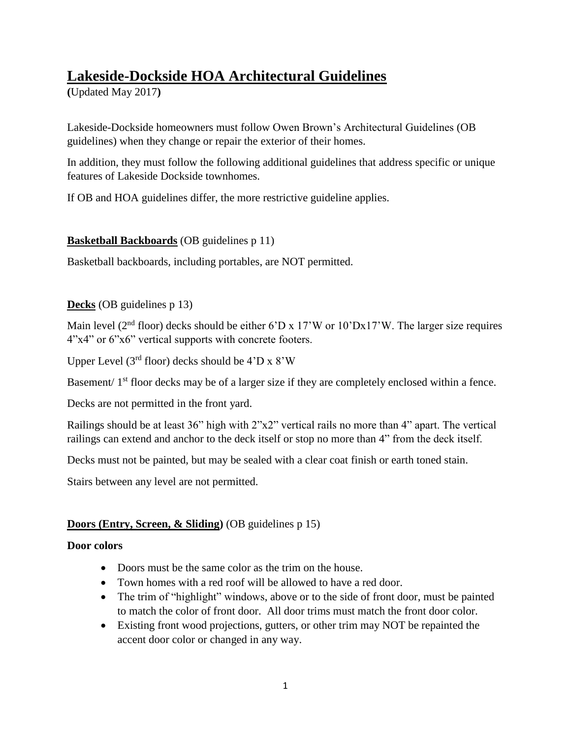# **Lakeside-Dockside HOA Architectural Guidelines**

**(**Updated May 2017**)**

Lakeside-Dockside homeowners must follow Owen Brown's Architectural Guidelines (OB guidelines) when they change or repair the exterior of their homes.

In addition, they must follow the following additional guidelines that address specific or unique features of Lakeside Dockside townhomes.

If OB and HOA guidelines differ, the more restrictive guideline applies.

# **Basketball Backboards** (OB guidelines p 11)

Basketball backboards, including portables, are NOT permitted.

# **Decks** (OB guidelines p 13)

Main level ( $2<sup>nd</sup>$  floor) decks should be either 6'D x 17'W or 10'Dx17'W. The larger size requires 4"x4" or 6"x6" vertical supports with concrete footers.

Upper Level ( $3<sup>rd</sup>$  floor) decks should be  $4'D \times 8'W$ 

Basement/ 1<sup>st</sup> floor decks may be of a larger size if they are completely enclosed within a fence.

Decks are not permitted in the front yard.

Railings should be at least 36" high with 2"x2" vertical rails no more than 4" apart. The vertical railings can extend and anchor to the deck itself or stop no more than 4" from the deck itself.

Decks must not be painted, but may be sealed with a clear coat finish or earth toned stain.

Stairs between any level are not permitted.

# **Doors (Entry, Screen, & Sliding)** (OB guidelines p 15)

# **Door colors**

- Doors must be the same color as the trim on the house.
- Town homes with a red roof will be allowed to have a red door.
- The trim of "highlight" windows, above or to the side of front door, must be painted to match the color of front door. All door trims must match the front door color.
- Existing front wood projections, gutters, or other trim may NOT be repainted the accent door color or changed in any way.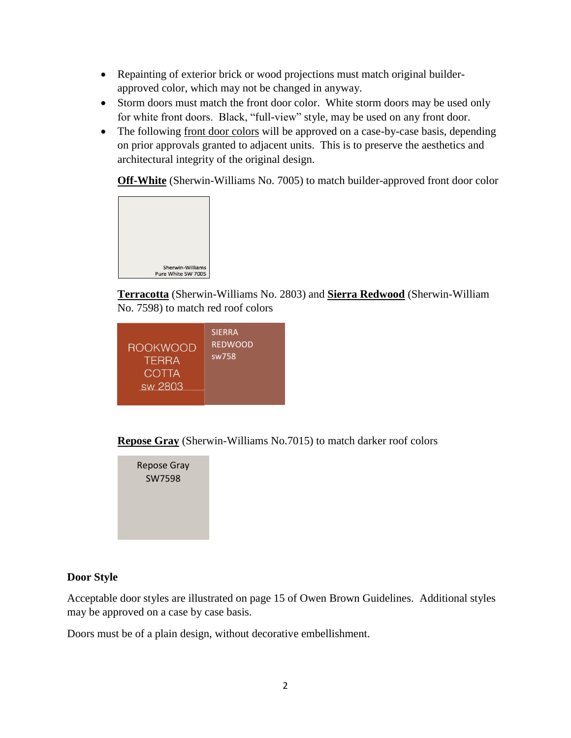- Repainting of exterior brick or wood projections must match original builderapproved color, which may not be changed in anyway.
- Storm doors must match the front door color. White storm doors may be used only for white front doors. Black, "full-view" style, may be used on any front door.
- The following front door colors will be approved on a case-by-case basis, depending on prior approvals granted to adjacent units. This is to preserve the aesthetics and architectural integrity of the original design.

**Off-White** (Sherwin-Williams No. 7005) to match builder-approved front door color



**Terracotta** (Sherwin-Williams No. 2803) and **Sierra Redwood** (Sherwin-William No. 7598) to match red roof colors

**Repose Gray** (Sherwin-Williams No.7015) to match darker roof colors

Repose Gray SW7598

### **Door Style**

Acceptable door styles are illustrated on page 15 of Owen Brown Guidelines. Additional styles may be approved on a case by case basis.

Doors must be of a plain design, without decorative embellishment.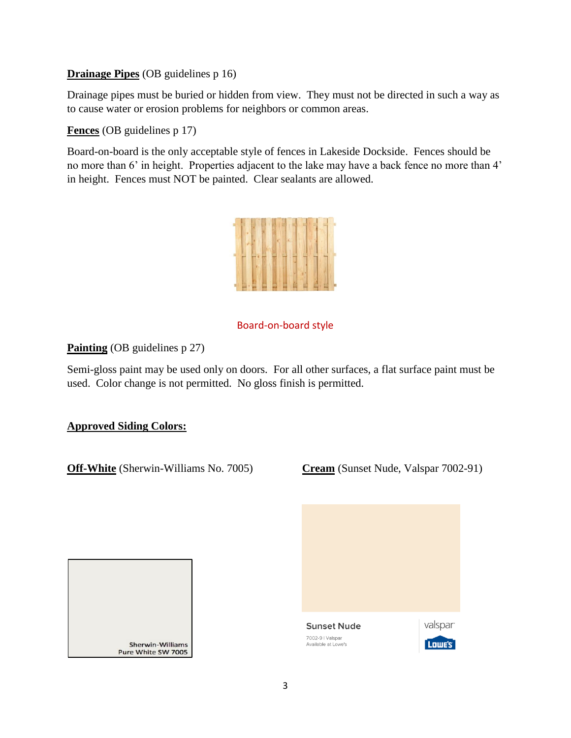### **Drainage Pipes** (OB guidelines p 16)

Drainage pipes must be buried or hidden from view. They must not be directed in such a way as to cause water or erosion problems for neighbors or common areas.

**Fences** (OB guidelines p 17)

Board-on-board is the only acceptable style of fences in Lakeside Dockside. Fences should be no more than 6' in height. Properties adjacent to the lake may have a back fence no more than 4' in height. Fences must NOT be painted. Clear sealants are allowed.



## Board-on-board style

### **Painting** (OB guidelines p 27)

Semi-gloss paint may be used only on doors. For all other surfaces, a flat surface paint must be used. Color change is not permitted. No gloss finish is permitted.

### **Approved Siding Colors:**

**Off-White** (Sherwin-Williams No. 7005) **Cream** (Sunset Nude, Valspar 7002-91)